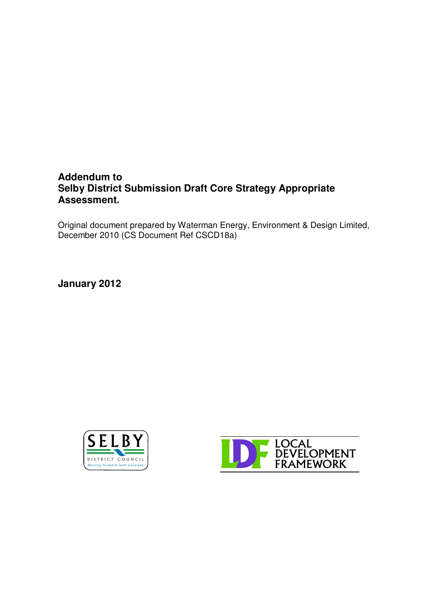# **Addendum to Selby District Submission Draft Core Strategy Appropriate Assessment.**

Original document prepared by Waterman Energy, Environment & Design Limited, December 2010 (CS Document Ref CSCD18a)

**January 2012**



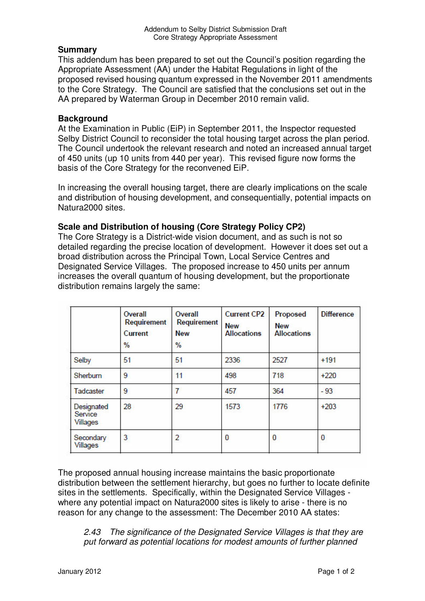# **Summary**

This addendum has been prepared to set out the Council's position regarding the Appropriate Assessment (AA) under the Habitat Regulations in light of the proposed revised housing quantum expressed in the November 2011 amendments to the Core Strategy. The Council are satisfied that the conclusions set out in the AA prepared by Waterman Group in December 2010 remain valid.

# **Background**

At the Examination in Public (EiP) in September 2011, the Inspector requested Selby District Council to reconsider the total housing target across the plan period. The Council undertook the relevant research and noted an increased annual target of 450 units (up 10 units from 440 per year). This revised figure now forms the basis of the Core Strategy for the reconvened EiP.

In increasing the overall housing target, there are clearly implications on the scale and distribution of housing development, and consequentially, potential impacts on Natura2000 sites.

#### **Scale and Distribution of housing (Core Strategy Policy CP2)**

The Core Strategy is a District-wide vision document, and as such is not so detailed regarding the precise location of development. However it does set out a broad distribution across the Principal Town, Local Service Centres and Designated Service Villages. The proposed increase to 450 units per annum increases the overall quantum of housing development, but the proportionate distribution remains largely the same:

|                                   | Overall<br><b>Requirement</b><br>Current<br>$\%$ | Overall<br>Requirement<br><b>New</b><br>$\frac{0}{6}$ | <b>Current CP2</b><br><b>New</b><br><b>Allocations</b> | Proposed<br><b>New</b><br><b>Allocations</b> | <b>Difference</b> |
|-----------------------------------|--------------------------------------------------|-------------------------------------------------------|--------------------------------------------------------|----------------------------------------------|-------------------|
| Selby                             | 51                                               | 51                                                    | 2336                                                   | 2527                                         | $+191$            |
| Sherburn                          | 9                                                | 11                                                    | 498                                                    | 718                                          | $+220$            |
| Tadcaster                         | 9                                                | 7                                                     | 457                                                    | 364                                          | $-93$             |
| Designated<br>Service<br>Villages | 28                                               | 29                                                    | 1573                                                   | 1776                                         | $+203$            |
| Secondary<br>Villages             | 3                                                | 2                                                     | 0                                                      | 0                                            | 0                 |

The proposed annual housing increase maintains the basic proportionate distribution between the settlement hierarchy, but goes no further to locate definite sites in the settlements. Specifically, within the Designated Service Villages where any potential impact on Natura2000 sites is likely to arise - there is no reason for any change to the assessment: The December 2010 AA states:

*2.43 The significance of the Designated Service Villages is that they are put forward as potential locations for modest amounts of further planned*